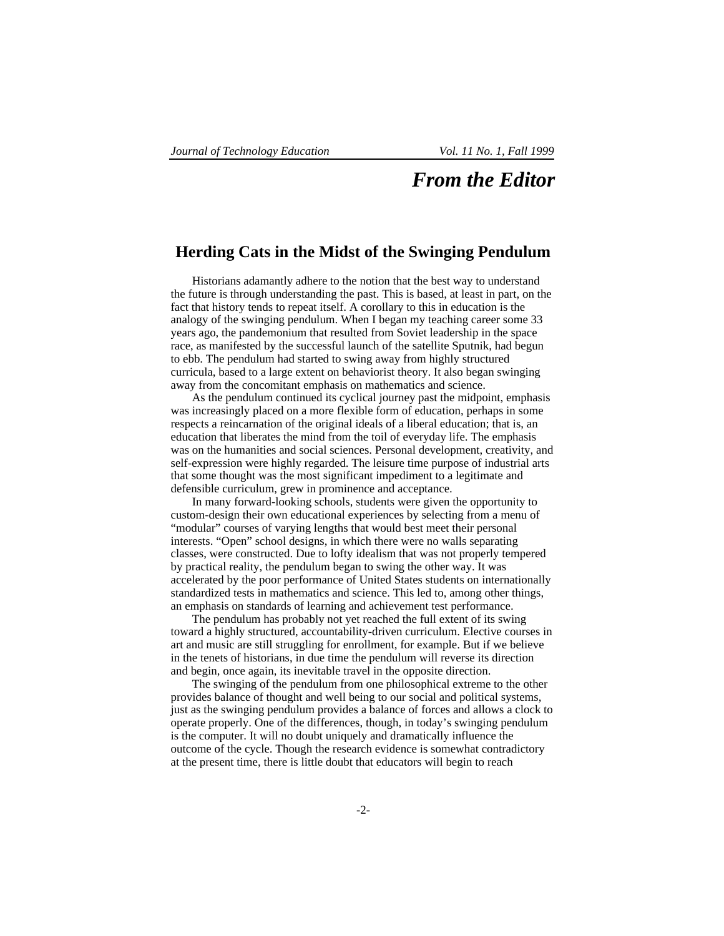## *From the Editor*

## **Herding Cats in the Midst of the Swinging Pendulum**

Historians adamantly adhere to the notion that the best way to understand the future is through understanding the past. This is based, at least in part, on the fact that history tends to repeat itself. A corollary to this in education is the analogy of the swinging pendulum. When I began my teaching career some 33 years ago, the pandemonium that resulted from Soviet leadership in the space race, as manifested by the successful launch of the satellite Sputnik, had begun to ebb. The pendulum had started to swing away from highly structured curricula, based to a large extent on behaviorist theory. It also began swinging away from the concomitant emphasis on mathematics and science.

As the pendulum continued its cyclical journey past the midpoint, emphasis was increasingly placed on a more flexible form of education, perhaps in some respects a reincarnation of the original ideals of a liberal education; that is, an education that liberates the mind from the toil of everyday life. The emphasis was on the humanities and social sciences. Personal development, creativity, and self-expression were highly regarded. The leisure time purpose of industrial arts that some thought was the most significant impediment to a legitimate and defensible curriculum, grew in prominence and acceptance.

In many forward-looking schools, students were given the opportunity to custom-design their own educational experiences by selecting from a menu of "modular" courses of varying lengths that would best meet their personal interests. "Open" school designs, in which there were no walls separating classes, were constructed. Due to lofty idealism that was not properly tempered by practical reality, the pendulum began to swing the other way. It was accelerated by the poor performance of United States students on internationally standardized tests in mathematics and science. This led to, among other things, an emphasis on standards of learning and achievement test performance.

The pendulum has probably not yet reached the full extent of its swing toward a highly structured, accountability-driven curriculum. Elective courses in art and music are still struggling for enrollment, for example. But if we believe in the tenets of historians, in due time the pendulum will reverse its direction and begin, once again, its inevitable travel in the opposite direction.

The swinging of the pendulum from one philosophical extreme to the other provides balance of thought and well being to our social and political systems, just as the swinging pendulum provides a balance of forces and allows a clock to operate properly. One of the differences, though, in today's swinging pendulum is the computer. It will no doubt uniquely and dramatically influence the outcome of the cycle. Though the research evidence is somewhat contradictory at the present time, there is little doubt that educators will begin to reach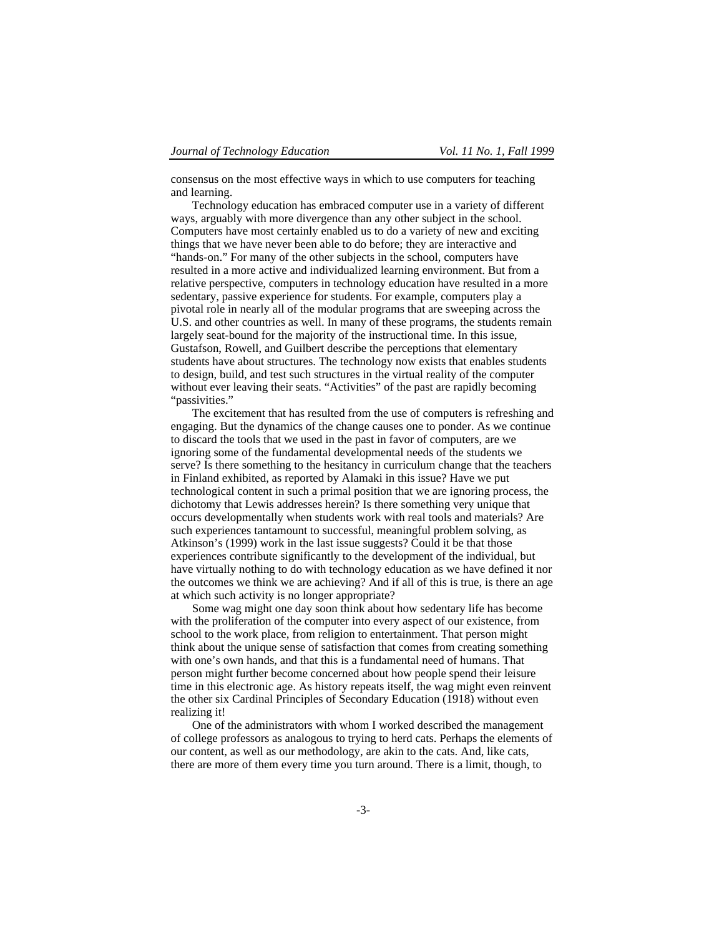consensus on the most effective ways in which to use computers for teaching and learning.

Technology education has embraced computer use in a variety of different ways, arguably with more divergence than any other subject in the school. Computers have most certainly enabled us to do a variety of new and exciting things that we have never been able to do before; they are interactive and "hands-on." For many of the other subjects in the school, computers have resulted in a more active and individualized learning environment. But from a relative perspective, computers in technology education have resulted in a more sedentary, passive experience for students. For example, computers play a pivotal role in nearly all of the modular programs that are sweeping across the U.S. and other countries as well. In many of these programs, the students remain largely seat-bound for the majority of the instructional time. In this issue, Gustafson, Rowell, and Guilbert describe the perceptions that elementary students have about structures. The technology now exists that enables students to design, build, and test such structures in the virtual reality of the computer without ever leaving their seats. "Activities" of the past are rapidly becoming "passivities."

The excitement that has resulted from the use of computers is refreshing and engaging. But the dynamics of the change causes one to ponder. As we continue to discard the tools that we used in the past in favor of computers, are we ignoring some of the fundamental developmental needs of the students we serve? Is there something to the hesitancy in curriculum change that the teachers in Finland exhibited, as reported by Alamaki in this issue? Have we put technological content in such a primal position that we are ignoring process, the dichotomy that Lewis addresses herein? Is there something very unique that occurs developmentally when students work with real tools and materials? Are such experiences tantamount to successful, meaningful problem solving, as Atkinson's (1999) work in the last issue suggests? Could it be that those experiences contribute significantly to the development of the individual, but have virtually nothing to do with technology education as we have defined it nor the outcomes we think we are achieving? And if all of this is true, is there an age at which such activity is no longer appropriate?

Some wag might one day soon think about how sedentary life has become with the proliferation of the computer into every aspect of our existence, from school to the work place, from religion to entertainment. That person might think about the unique sense of satisfaction that comes from creating something with one's own hands, and that this is a fundamental need of humans. That person might further become concerned about how people spend their leisure time in this electronic age. As history repeats itself, the wag might even reinvent the other six Cardinal Principles of Secondary Education (1918) without even realizing it!

One of the administrators with whom I worked described the management of college professors as analogous to trying to herd cats. Perhaps the elements of our content, as well as our methodology, are akin to the cats. And, like cats, there are more of them every time you turn around. There is a limit, though, to